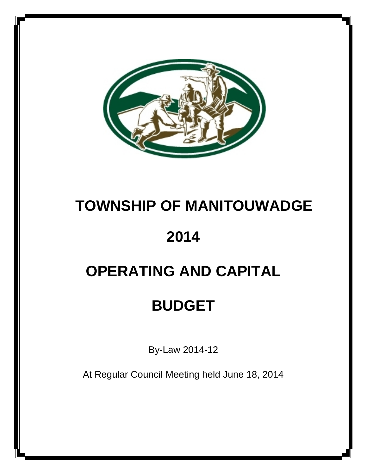

## **TOWNSHIP OF MANITOUWADGE**

## **2014**

## **OPERATING AND CAPITAL**

## **BUDGET**

By-Law 2014-12

At Regular Council Meeting held June 18, 2014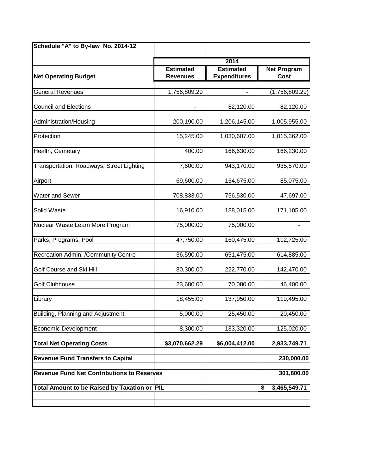| Schedule "A" to By-law No. 2014-12           |                                                   |                            |                    |  |  |
|----------------------------------------------|---------------------------------------------------|----------------------------|--------------------|--|--|
|                                              |                                                   | 2014                       |                    |  |  |
|                                              | <b>Estimated</b>                                  | <b>Estimated</b>           | <b>Net Program</b> |  |  |
| <b>Net Operating Budget</b>                  | <b>Revenues</b>                                   | <b>Expenditures</b>        | Cost               |  |  |
|                                              |                                                   |                            |                    |  |  |
| <b>General Revenues</b>                      | 1,756,809.29                                      |                            | (1,756,809.29)     |  |  |
| <b>Council and Elections</b>                 |                                                   | 82,120.00                  | 82,120.00          |  |  |
| Administration/Housing                       | 200,190.00                                        | 1,206,145.00               | 1,005,955.00       |  |  |
|                                              |                                                   |                            |                    |  |  |
| Protection                                   | 15,245.00                                         | 1,030,607.00               | 1,015,362.00       |  |  |
| Health, Cemetary                             | 400.00                                            | 166,630.00                 | 166,230.00         |  |  |
|                                              |                                                   |                            |                    |  |  |
| Transportation, Roadways, Street Lighting    | 7,600.00                                          | 943,170.00                 | 935,570.00         |  |  |
| Airport                                      | 69,600.00                                         | 154,675.00                 | 85,075.00          |  |  |
|                                              |                                                   |                            |                    |  |  |
| <b>Water and Sewer</b>                       | 708,833.00                                        | 756,530.00                 | 47,697.00          |  |  |
| Solid Waste                                  | 16,910.00                                         | 188,015.00                 | 171,105.00         |  |  |
|                                              |                                                   |                            |                    |  |  |
| Nuclear Waste Learn More Program             | 75,000.00                                         | 75,000.00                  |                    |  |  |
| Parks, Programs, Pool                        | 47,750.00                                         | 160,475.00                 | 112,725.00         |  |  |
|                                              |                                                   |                            |                    |  |  |
| Recreation Admin. /Community Centre          | 36,590.00                                         | 651,475.00                 | 614,885.00         |  |  |
| Golf Course and Ski Hill                     | 80,300.00                                         | 222,770.00                 | 142,470.00         |  |  |
|                                              |                                                   |                            |                    |  |  |
| <b>Golf Clubhouse</b>                        | 23,680.00                                         | 70,080.00                  | 46,400.00          |  |  |
| Library                                      | 18,455.00                                         | 137,950.00                 | 119,495.00         |  |  |
| Building, Planning and Adjustment            | 5,000.00                                          | 25,450.00                  | 20,450.00          |  |  |
|                                              |                                                   |                            |                    |  |  |
| <b>Economic Development</b>                  | 8,300.00                                          | 133,320.00                 | 125,020.00         |  |  |
| <b>Total Net Operating Costs</b>             | \$3,070,662.29                                    | $\overline{$6,004,412.00}$ | 2,933,749.71       |  |  |
| <b>Revenue Fund Transfers to Capital</b>     |                                                   |                            | 230,000.00         |  |  |
|                                              |                                                   |                            | 301,800.00         |  |  |
|                                              | <b>Revenue Fund Net Contributions to Reserves</b> |                            |                    |  |  |
| Total Amount to be Raised by Taxation or PIL |                                                   |                            | \$<br>3,465,549.71 |  |  |
|                                              |                                                   |                            |                    |  |  |
|                                              |                                                   |                            |                    |  |  |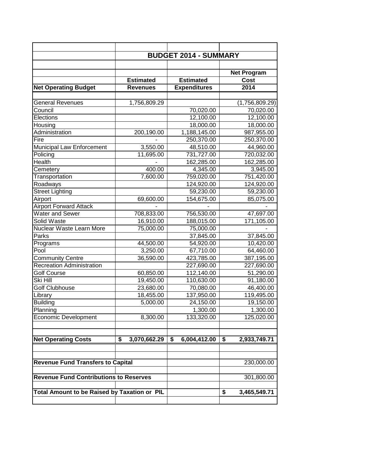|                                               | <b>BUDGET 2014 - SUMMARY</b> |                     |                    |  |  |  |  |
|-----------------------------------------------|------------------------------|---------------------|--------------------|--|--|--|--|
|                                               |                              |                     |                    |  |  |  |  |
|                                               |                              |                     | <b>Net Program</b> |  |  |  |  |
|                                               | <b>Estimated</b>             | <b>Estimated</b>    | Cost               |  |  |  |  |
| <b>Net Operating Budget</b>                   | <b>Revenues</b>              | <b>Expenditures</b> | 2014               |  |  |  |  |
|                                               |                              |                     |                    |  |  |  |  |
| <b>General Revenues</b>                       | 1,756,809.29                 |                     | (1,756,809.29)     |  |  |  |  |
| Council                                       |                              | 70,020.00           | 70,020.00          |  |  |  |  |
| Elections                                     |                              | 12,100.00           | 12,100.00          |  |  |  |  |
| Housing                                       |                              | 18,000.00           | 18,000.00          |  |  |  |  |
| Administration                                | 200,190.00                   | 1,188,145.00        | 987,955.00         |  |  |  |  |
| Fire                                          |                              | 250,370.00          | 250,370.00         |  |  |  |  |
| Municipal Law Enforcement                     | 3,550.00                     | 48,510.00           | 44,960.00          |  |  |  |  |
| Policing                                      | 11,695.00                    | 731,727.00          | 720,032.00         |  |  |  |  |
| Health                                        |                              | 162,285.00          | 162,285.00         |  |  |  |  |
| Cemetery                                      | 400.00                       | 4,345.00            | 3,945.00           |  |  |  |  |
| Transportation                                | 7,600.00                     | 759,020.00          | 751,420.00         |  |  |  |  |
| Roadways                                      |                              | 124,920.00          | 124,920.00         |  |  |  |  |
| <b>Street Lighting</b>                        |                              | 59,230.00           | 59,230.00          |  |  |  |  |
| Airport                                       | 69,600.00                    | 154,675.00          | 85,075.00          |  |  |  |  |
| <b>Airport Forward Attack</b>                 |                              |                     |                    |  |  |  |  |
| Water and Sewer                               | 708,833.00                   | 756,530.00          | 47,697.00          |  |  |  |  |
| Solid Waste                                   | 16,910.00                    | 188,015.00          | 171,105.00         |  |  |  |  |
| Nuclear Waste Learn More                      | 75,000.00                    | 75,000.00           |                    |  |  |  |  |
| Parks                                         |                              | 37,845.00           | 37,845.00          |  |  |  |  |
| Programs                                      | 44,500.00                    | 54,920.00           | 10,420.00          |  |  |  |  |
| Pool                                          | 3,250.00                     | 67,710.00           | 64,460.00          |  |  |  |  |
| <b>Community Centre</b>                       | 36,590.00                    | 423,785.00          | 387,195.00         |  |  |  |  |
| <b>Recreation Administration</b>              |                              | 227,690.00          | 227,690.00         |  |  |  |  |
| <b>Golf Course</b>                            | 60,850.00                    | 112,140.00          | 51,290.00          |  |  |  |  |
| Ski Hill                                      | 19,450.00                    | 110,630.00          | 91,180.00          |  |  |  |  |
| Golf Clubhouse                                | 23,680.00                    | 70,080.00           | 46,400.00          |  |  |  |  |
| Library                                       | 18,455.00                    | 137,950.00          | 119,495.00         |  |  |  |  |
| <b>Building</b>                               | 5,000.00                     | 24,150.00           | 19,150.00          |  |  |  |  |
| Planning                                      |                              | 1,300.00            | 1,300.00           |  |  |  |  |
| <b>Economic Development</b>                   | 8,300.00                     | 133,320.00          | 125,020.00         |  |  |  |  |
|                                               |                              |                     |                    |  |  |  |  |
|                                               |                              |                     |                    |  |  |  |  |
| <b>Net Operating Costs</b>                    | \$<br>3,070,662.29           | \$<br>6,004,412.00  | \$<br>2,933,749.71 |  |  |  |  |
|                                               |                              |                     |                    |  |  |  |  |
|                                               |                              |                     |                    |  |  |  |  |
| <b>Revenue Fund Transfers to Capital</b>      |                              |                     | 230,000.00         |  |  |  |  |
|                                               |                              |                     |                    |  |  |  |  |
| <b>Revenue Fund Contributions to Reserves</b> |                              |                     | 301,800.00         |  |  |  |  |
|                                               |                              |                     |                    |  |  |  |  |
| Total Amount to be Raised by Taxation or PIL  |                              |                     | \$<br>3,465,549.71 |  |  |  |  |
|                                               |                              |                     |                    |  |  |  |  |
|                                               |                              |                     |                    |  |  |  |  |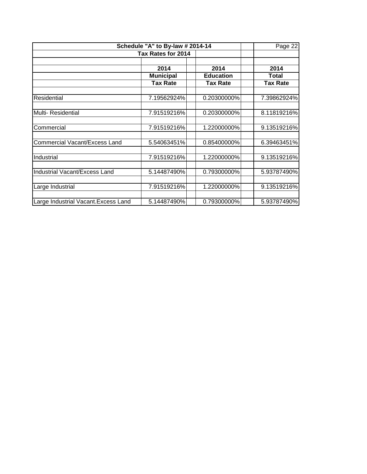| Schedule "A" to By-law # 2014-14     | Page 22          |                  |                 |
|--------------------------------------|------------------|------------------|-----------------|
| Tax Rates for 2014                   |                  |                  |                 |
|                                      | 2014             | 2014             | 2014            |
|                                      | <b>Municipal</b> | <b>Education</b> | Total           |
|                                      | <b>Tax Rate</b>  | <b>Tax Rate</b>  | <b>Tax Rate</b> |
|                                      |                  |                  |                 |
| Residential                          | 7.19562924%      | 0.20300000%      | 7.39862924%     |
| <b>Multi-Residential</b>             | 7.91519216%      | 0.20300000%      | 8.11819216%     |
| Commercial                           | 7.91519216%      | 1.22000000%      | 9.13519216%     |
| <b>Commercial Vacant/Excess Land</b> | 5.54063451%      | 0.85400000%      | 6.39463451%     |
| Industrial                           | 7.91519216%      | 1.22000000%      | 9.13519216%     |
| Industrial Vacant/Excess Land        | 5.14487490%      | 0.79300000%      | 5.93787490%     |
| Large Industrial                     | 7.91519216%      | 1.22000000%      | 9.13519216%     |
| Large Industrial Vacant. Excess Land | 5.14487490%      | 0.79300000%      | 5.93787490%     |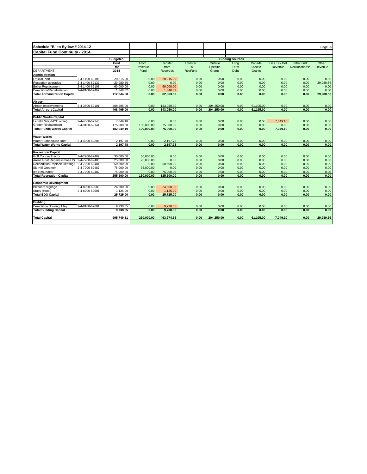| Schedule "B" to By-law # 2014-12                                 |                |                         |              |                       |                |              |                        |              |                    |                | Page 25           |
|------------------------------------------------------------------|----------------|-------------------------|--------------|-----------------------|----------------|--------------|------------------------|--------------|--------------------|----------------|-------------------|
| Capital Fund Continuity - 2014                                   |                |                         |              |                       |                |              |                        |              |                    |                |                   |
|                                                                  |                |                         |              |                       |                |              |                        |              |                    |                |                   |
|                                                                  |                | <b>Budgeted</b><br>Cost | From         | <b>Transfer</b>       | Transfer       | Ontario      | <b>Funding Sources</b> | Canada       | <b>Gas Tax Def</b> |                | Other             |
|                                                                  |                | for                     | Revenue      | from                  | To             | Specific     | Long<br>Term           | Specfic      |                    | Intra fund     |                   |
| <b>DEPARTMENT</b>                                                |                | 2014                    | Fund         | Reserves              | <b>ResFund</b> | Grants       | Debt                   | Grants       | Revenue            | Reallocations* | Revenue           |
| <b>Administration</b>                                            |                |                         |              |                       |                |              |                        |              |                    |                |                   |
|                                                                  |                |                         |              |                       |                |              |                        |              |                    |                |                   |
| Official Plan                                                    | 2-4-1400-62105 | 20,215.00<br>29,980.56  | 0.00         | 20,215.00             | 0.00           | 0.00         | 0.00                   | 0.00         | 0.00               | 0.00           | 0.00              |
| Reception upgrades                                               | 2-4-1400-62137 |                         | 0.00         | 0.00                  | 0.00           | 0.00         | 0.00                   | 0.00         | 0.00               | 0.00           | 29,980.56         |
| <b>Boiler Replacement</b>                                        | 2-4-1400-62108 | 60,000.00               | 0.00         | 60,000.00             | 0.00           | 0.00         | 0.00                   | 0.00         | 0.00               | 0.00           | 0.00              |
| Demolition/Rehabilitation<br><b>Total Administration Capital</b> | 2-4-8100-62499 | 1,848.52<br>112,044.08  | 0.00<br>0.00 | 1,848.52<br>82,063.52 | 0.00<br>0.00   | 0.00<br>0.00 | 0.00<br>0.00           | 0.00<br>0.00 | 0.00<br>0.00       | 0.00<br>0.00   | 0.00<br>29,980.56 |
|                                                                  |                |                         |              |                       |                |              |                        |              |                    |                |                   |
| Airport                                                          |                |                         |              |                       |                |              |                        |              |                    |                |                   |
| Airport Improvements                                             | 2-4-3500-62101 | 408,495.00              | 0.00         | 143,050.00            | 0.00           | 204,250.00   | 0.00                   | 61,195.00    | 0.00               | 0.00           | 0.00              |
| <b>Total Airport Capital</b>                                     |                | 408,495.00              | 0.00         | 143,050.00            | 0.00           | 204,250.00   | 0.00                   | 61,195.00    | 0.00               | 0.00           | 0.00              |
|                                                                  |                |                         |              |                       |                |              |                        |              |                    |                |                   |
| <b>Public Works Capital</b>                                      |                |                         |              |                       |                |              |                        |              |                    |                |                   |
| Landfill Site (MOE order)                                        | 2-4-4500-62140 | 7,049.10                | 0.00         | 0.00                  | 0.00           | 0.00         | 0.00                   | 0.00         | 7,049.10           | 0.00           | 0.00              |
| <b>Grader Replacement</b>                                        | 2-4-3100-62141 | 175,000.00              | 100,000.00   | 75,000.00             | 0.00           | 0.00         | 0.00                   | 0.00         | 0.00               | 0.00           | 0.00              |
| Total Public Works Capital                                       |                | 182,049.10              | 100,000.00   | 75,000.00             | 0.00           | 0.00         | 0.00                   | 0.00         | 7,049.10           | 0.00           | 0.00              |
| <b>Water Works</b>                                               |                |                         |              |                       |                |              |                        |              |                    |                |                   |
| Water Pumphouse Roof                                             | 2-4-4300-62206 | 2,197.78                | 0.00         | 2,197.78              | 0.00           | 0.00         | 0.00                   | 0.00         | 0.00               | 0.00           | 0.00              |
| <b>Total Water Works Capital</b>                                 |                | 2,197.78                | 0.00         | 2,197.78              | 0.00           | 0.00         | 0.00                   | 0.00         | 0.00               | 0.00           | 0.00              |
|                                                                  |                |                         |              |                       |                |              |                        |              |                    |                |                   |
| <b>Recreation Capital</b>                                        |                |                         |              |                       |                |              |                        |              |                    |                |                   |
| Golf Course Tractor                                              | 2-4-7700-62487 | 30,000.00               | 30,000.00    | 0.00                  | 0.00           | 0.00         | 0.00                   | 0.00         | 0.00               | 0.00           | 0.00              |
| Arena Roof Repairs (Phase 2)                                     | 2-4-7700-62485 | 25,000.00               | 25,000.00    | 0.00                  | 0.00           | 0.00         | 0.00                   | 0.00         | 0.00               | 0.00           | 0.00              |
| Recondition/Replace Heating P 2-4-7200-62481                     |                | 50,500.00               | 0.00         | 50,500.00             | 0.00           | 0.00         | 0.00                   | 0.00         | 0.00               | 0.00           | 0.00              |
| Ski Hill Groomer                                                 | 2-4-7900-62487 | 75,000.00               | 75,000.00    | 0.00                  | 0.00           | 0.00         | 0.00                   | 0.00         | 0.00               | 0.00           | 0.00              |
| Ice Resurfacer                                                   | 2-4-7200-62482 | 75,000.00               | 0.00         | 75,000.00             | 0.00           | 0.00         | 0.00                   | 0.00         | 0.00               | 0.00           | 0.00              |
| <b>Total Recreation Capital</b>                                  |                | 255,500.00              | 130,000.00   | 125,500.00            | 0.00           | 0.00         | 0.00                   | 0.00         | 0.00               | 0.00           | 0.00              |
| <b>Economic Development</b>                                      |                |                         |              |                       |                |              |                        |              |                    |                |                   |
| <b>Billboard signage</b>                                         | 2-4-8200-62500 | 24,600.00               | 0.00         | 24,600.00             | 0.00           | 0.00         | 0.00                   | 0.00         | 0.00               | 0.00           | 0.00              |
| Study (Hotel)                                                    | 2-4-8200-62501 | 1,125.00                | 0.00         | 1,125.00              | 0.00           | 0.00         | 0.00                   | 0.00         | 0.00               | 0.00           | 0.00              |
| <b>Total EDO Capital</b>                                         |                | 25,725.00               | 0.00         | 25,725.00             | 0.00           | 0.00         | 0.00                   | 0.00         | 0.00               | 0.00           | 0.00              |
|                                                                  |                |                         |              |                       |                |              |                        |              |                    |                |                   |
| <b>Building</b>                                                  |                |                         |              |                       |                |              |                        |              |                    |                |                   |
| <b>Demolition Bowling Alley</b>                                  | 2-4-8100-62601 | 9,738.35                | 0.00         | 9,738.35              | 0.00           | 0.00         | 0.00                   | 0.00         | 0.00               | 0.00           | 0.00              |
| <b>Total Building Capital</b>                                    |                | 9,738.35                | 0.00         | 9,738.35              | 0.00           | 0.00         | 0.00                   | 0.00         | 0.00               | 0.00           | 0.00              |
| <b>Total Capital</b>                                             |                | 995,749.31              | 230,000.00   | 463,274.65            | 0.00           | 204.250.00   | 0.00                   | 61,195.00    | 7,049.10           | 0.00           | 29,980.56         |
|                                                                  |                |                         |              |                       |                |              |                        |              |                    |                |                   |